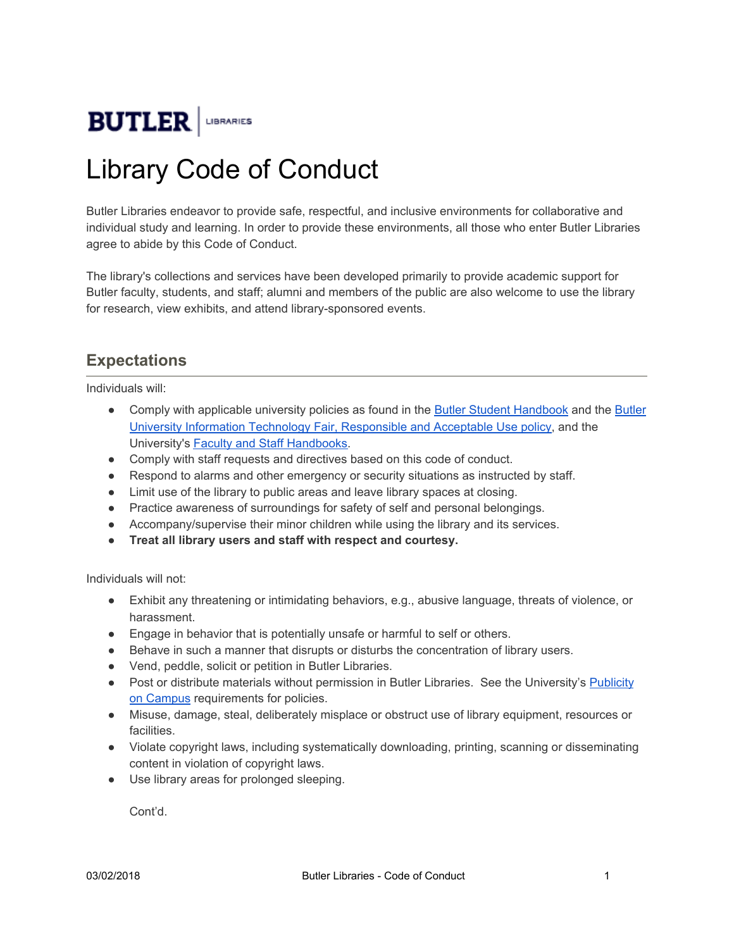

## Library Code of Conduct

Butler Libraries endeavor to provide safe, respectful, and inclusive environments for collaborative and individual study and learning. In order to provide these environments, all those who enter Butler Libraries agree to abide by this Code of Conduct.

The library's collections and services have been developed primarily to provide academic support for Butler faculty, students, and staff; alumni and members of the public are also welcome to use the library for research, view exhibits, and attend library-sponsored events.

## **Expectations**

Individuals will:

- Comply with applicable university policies as found in the Butler Student [Handbook](https://www.butler.edu/student-handbook) and the [Butler](https://www.butler.edu/it/policies-security/fair-responsible-acceptable-computer-use) University Information Technology Fair, [Responsible](https://www.butler.edu/it/policies-security/fair-responsible-acceptable-computer-use) and Acceptable Use policy, and the University's Faculty and Staff [Handbooks.](https://www.butler.edu/hr/policies)
- Comply with staff requests and directives based on this code of conduct.
- Respond to alarms and other emergency or security situations as instructed by staff.
- Limit use of the library to public areas and leave library spaces at closing.
- Practice awareness of surroundings for safety of self and personal belongings.
- Accompany/supervise their minor children while using the library and its services.
- **● Treat all library users and staff with respect and courtesy.**

Individuals will not:

- Exhibit any threatening or intimidating behaviors, e.g., abusive language, threats of violence, or harassment.
- Engage in behavior that is potentially unsafe or harmful to self or others.
- Behave in such a manner that disrupts or disturbs the concentration of library users.
- Vend, peddle, solicit or petition in Butler Libraries.
- Post or distribute materials without permission in Butler Libraries. See the University's [Publicity](https://www.butler.edu/involvement/publicity) on [Campus](https://www.butler.edu/involvement/publicity) requirements for policies.
- Misuse, damage, steal, deliberately misplace or obstruct use of library equipment, resources or facilities.
- Violate copyright laws, including systematically downloading, printing, scanning or disseminating content in violation of copyright laws.
- Use library areas for prolonged sleeping.

Cont'd.